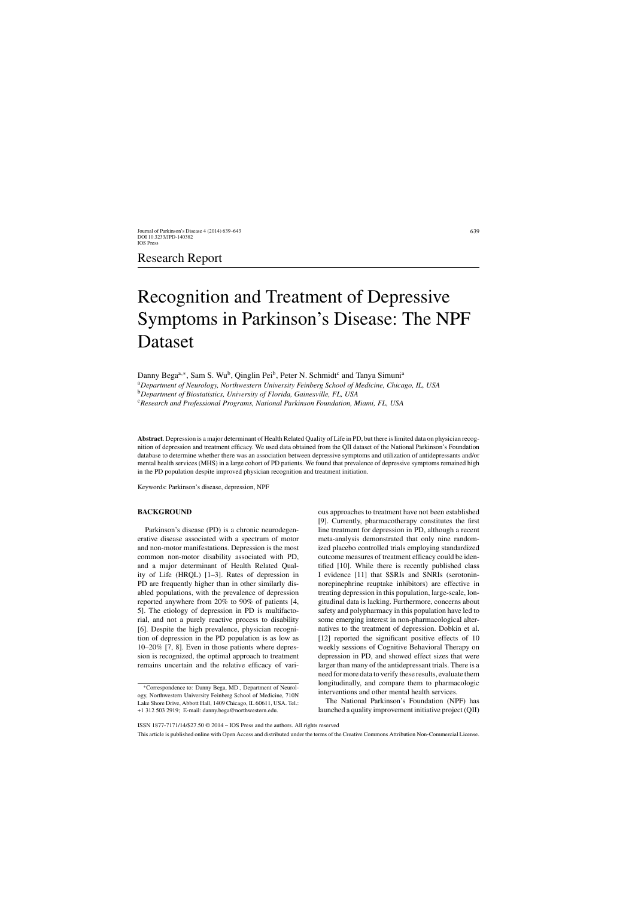## Research Report

# Recognition and Treatment of Depressive Symptoms in Parkinson's Disease: The NPF Dataset

Danny Bega<sup>a,∗</sup>, Sam S. Wu<sup>b</sup>, Qinglin Pei<sup>b</sup>, Peter N. Schmidt<sup>c</sup> and Tanya Simuni<sup>a</sup> <sup>a</sup>*Department of Neurology, Northwestern University Feinberg School of Medicine, Chicago, IL, USA* <sup>b</sup>*Department of Biostatistics, University of Florida, Gainesville, FL, USA*

<sup>c</sup>*Research and Professional Programs, National Parkinson Foundation, Miami, FL, USA*

**Abstract**. Depression is a major determinant of Health Related Quality of Life in PD, but there is limited data on physician recognition of depression and treatment efficacy. We used data obtained from the QII dataset of the National Parkinson's Foundation database to determine whether there was an association between depressive symptoms and utilization of antidepressants and/or mental health services (MHS) in a large cohort of PD patients. We found that prevalence of depressive symptoms remained high in the PD population despite improved physician recognition and treatment initiation.

Keywords: Parkinson's disease, depression, NPF

#### **BACKGROUND**

Parkinson's disease (PD) is a chronic neurodegenerative disease associated with a spectrum of motor and non-motor manifestations. Depression is the most common non-motor disability associated with PD, and a major determinant of Health Related Quality of Life (HRQL) [1–3]. Rates of depression in PD are frequently higher than in other similarly disabled populations, with the prevalence of depression reported anywhere from 20% to 90% of patients [4, 5]. The etiology of depression in PD is multifactorial, and not a purely reactive process to disability [6]. Despite the high prevalence, physician recognition of depression in the PD population is as low as 10–20% [7, 8]. Even in those patients where depression is recognized, the optimal approach to treatment remains uncertain and the relative efficacy of various approaches to treatment have not been established [9]. Currently, pharmacotherapy constitutes the first line treatment for depression in PD, although a recent meta-analysis demonstrated that only nine randomized placebo controlled trials employing standardized outcome measures of treatment efficacy could be identified [10]. While there is recently published class I evidence [11] that SSRIs and SNRIs (serotoninnorepinephrine reuptake inhibitors) are effective in treating depression in this population, large-scale, longitudinal data is lacking. Furthermore, concerns about safety and polypharmacy in this population have led to some emerging interest in non-pharmacological alternatives to the treatment of depression. Dobkin et al. [12] reported the significant positive effects of 10 weekly sessions of Cognitive Behavioral Therapy on depression in PD, and showed effect sizes that were larger than many of the antidepressant trials. There is a need for more data to verify these results, evaluate them longitudinally, and compare them to pharmacologic interventions and other mental health services.

The National Parkinson's Foundation (NPF) has launched a quality improvement initiative project (QII)

ISSN 1877-7171/14/\$27.50 © 2014 – IOS Press and the authors. All rights reserved

This article is published online with Open Access and distributed under the terms of the Creative Commons Attribution Non-Commercial License.

<sup>∗</sup>Correspondence to: Danny Bega, MD., Department of Neurology, Northwestern University Feinberg School of Medicine, 710N Lake Shore Drive, Abbott Hall, 1409 Chicago, IL 60611, USA. Tel.: +1 312 503 2919; E-mail: [danny.bega@northwestern.edu](mailto:danny.bega@northwestern.edu).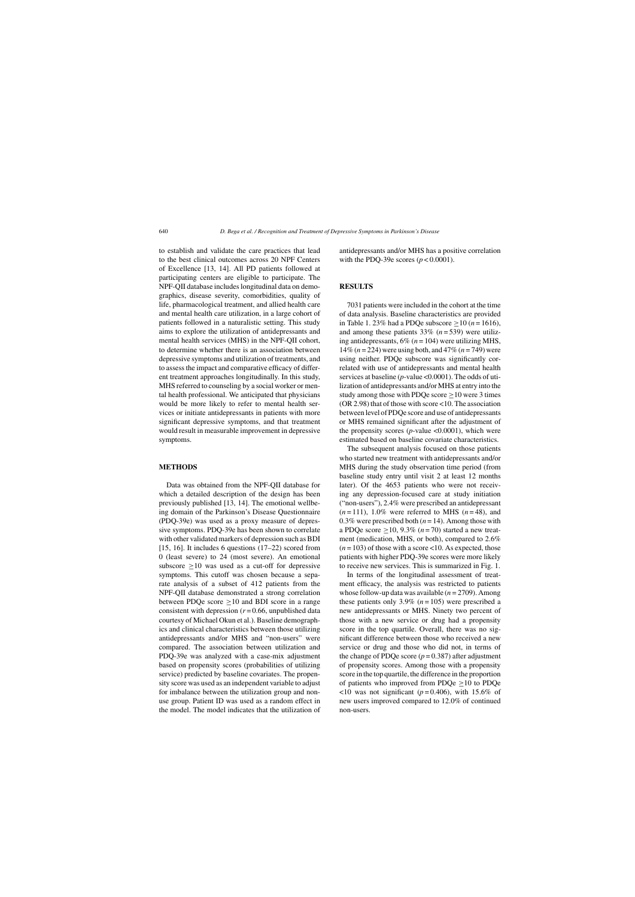to establish and validate the care practices that lead to the best clinical outcomes across 20 NPF Centers of Excellence [13, 14]. All PD patients followed at participating centers are eligible to participate. The NPF-QII database includes longitudinal data on demographics, disease severity, comorbidities, quality of life, pharmacological treatment, and allied health care and mental health care utilization, in a large cohort of patients followed in a naturalistic setting. This study aims to explore the utilization of antidepressants and mental health services (MHS) in the NPF-QII cohort, to determine whether there is an association between depressive symptoms and utilization of treatments, and to assess the impact and comparative efficacy of different treatment approaches longitudinally. In this study, MHS referred to counseling by a social worker or mental health professional. We anticipated that physicians would be more likely to refer to mental health services or initiate antidepressants in patients with more significant depressive symptoms, and that treatment would result in measurable improvement in depressive symptoms.

#### **METHODS**

Data was obtained from the NPF-QII database for which a detailed description of the design has been previously published [13, 14]. The emotional wellbeing domain of the Parkinson's Disease Questionnaire (PDQ-39e) was used as a proxy measure of depressive symptoms. PDQ-39e has been shown to correlate with other validated markers of depression such as BDI [15, 16]. It includes 6 questions (17–22) scored from 0 (least severe) to 24 (most severe). An emotional subscore  $\geq 10$  was used as a cut-off for depressive symptoms. This cutoff was chosen because a separate analysis of a subset of 412 patients from the NPF-QII database demonstrated a strong correlation between PDQe score  $\geq 10$  and BDI score in a range consistent with depression  $(r=0.66$ , unpublished data courtesy of Michael Okun et al.). Baseline demographics and clinical characteristics between those utilizing antidepressants and/or MHS and "non-users" were compared. The association between utilization and PDQ-39e was analyzed with a case-mix adjustment based on propensity scores (probabilities of utilizing service) predicted by baseline covariates. The propensity score was used as an independent variable to adjust for imbalance between the utilization group and nonuse group. Patient ID was used as a random effect in the model. The model indicates that the utilization of antidepressants and/or MHS has a positive correlation with the PDQ-39e scores  $(p < 0.0001)$ .

#### **RESULTS**

7031 patients were included in the cohort at the time of data analysis. Baseline characteristics are provided in Table 1. 23% had a PDQe subscore  $\geq$  10 (*n* = 1616), and among these patients  $33\%$  ( $n = 539$ ) were utilizing antidepressants,  $6\%$  ( $n = 104$ ) were utilizing MHS, 14% (*n* = 224) were using both, and 47% (*n* = 749) were using neither. PDQe subscore was significantly correlated with use of antidepressants and mental health services at baseline (*p*-value <0.0001). The odds of utilization of antidepressants and/or MHS at entry into the study among those with PDQe score  $\geq$  10 were 3 times (OR 2.98) that of those with score <10. The association between level of PDQe score and use of antidepressants or MHS remained significant after the adjustment of the propensity scores  $(p$ -value  $\leq 0.0001$ ), which were estimated based on baseline covariate characteristics.

The subsequent analysis focused on those patients who started new treatment with antidepressants and/or MHS during the study observation time period (from baseline study entry until visit 2 at least 12 months later). Of the 4653 patients who were not receiving any depression-focused care at study initiation ("non-users"), 2.4% were prescribed an antidepressant  $(n=111)$ , 1.0% were referred to MHS  $(n=48)$ , and 0.3% were prescribed both  $(n = 14)$ . Among those with a PDQe score  $\geq$ 10, 9.3% (*n* = 70) started a new treatment (medication, MHS, or both), compared to 2.6%  $(n=103)$  of those with a score <10. As expected, those patients with higher PDQ-39e scores were more likely to receive new services. This is summarized in Fig. 1.

In terms of the longitudinal assessment of treatment efficacy, the analysis was restricted to patients whose follow-up data was available (*n* = 2709). Among these patients only 3.9%  $(n = 105)$  were prescribed a new antidepressants or MHS. Ninety two percent of those with a new service or drug had a propensity score in the top quartile. Overall, there was no significant difference between those who received a new service or drug and those who did not, in terms of the change of PDQe score  $(p = 0.387)$  after adjustment of propensity scores. Among those with a propensity score in the top quartile, the difference in the proportion of patients who improved from PDQe  $\geq$ 10 to PDQe  $\langle$ 10 was not significant ( $p$  = 0.406), with 15.6% of new users improved compared to 12.0% of continued non-users.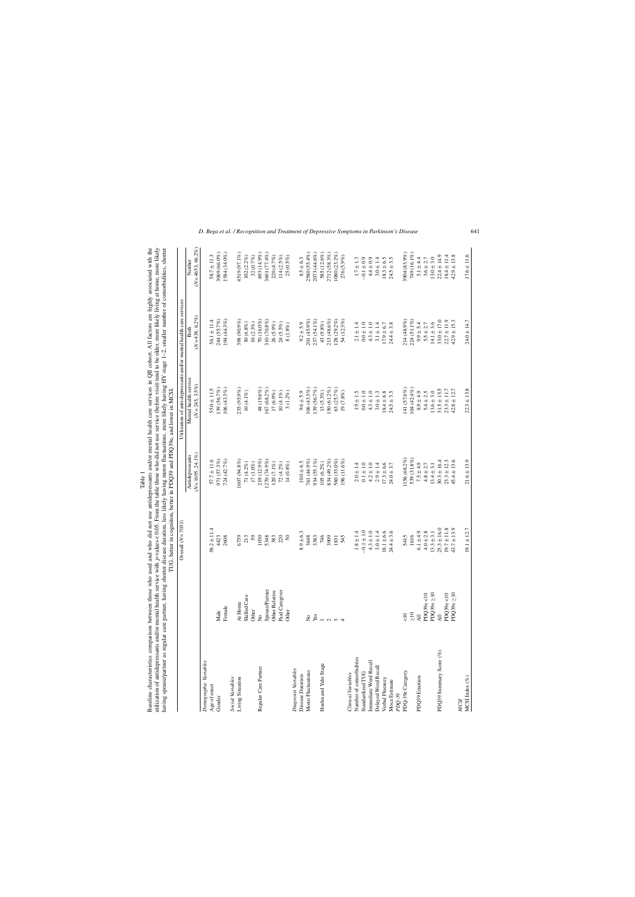| Table 1 | who used and who did not use antidepressants and/or mental health care services in QII cohort. All factors are highly associated with the | rvice with $p$ -values <0.05. From the table those who did not use service (before visit) tend to be older, more likely living at home, more likely | g shorter disease duration, less likely having motor fluctuations, more likely having HY stage 1-2, smaller number of comorbidities, shorter<br>s regi | THE hatter in cornition better in DDO30 and DDO30e and lower in MCSI |
|---------|-------------------------------------------------------------------------------------------------------------------------------------------|-----------------------------------------------------------------------------------------------------------------------------------------------------|--------------------------------------------------------------------------------------------------------------------------------------------------------|----------------------------------------------------------------------|
|---------|-------------------------------------------------------------------------------------------------------------------------------------------|-----------------------------------------------------------------------------------------------------------------------------------------------------|--------------------------------------------------------------------------------------------------------------------------------------------------------|----------------------------------------------------------------------|

|                           |                      | TUG, better in cognition, better in PDQ39 and PDQ39e, and lower in MCSI<br>Overall $(N = 7031)$ |                    | Utilization of anti-depressants and/or mental health care services |                  |                    |
|---------------------------|----------------------|-------------------------------------------------------------------------------------------------|--------------------|--------------------------------------------------------------------|------------------|--------------------|
|                           |                      |                                                                                                 | Antidepressants    | Mental health service                                              | <b>Both</b>      | Neither            |
|                           |                      |                                                                                                 | $(N=1695, 24.1\%)$ | $(N = 245, 3.5\%)$                                                 | $(N=438, 6.2\%)$ | $(N=4653, 66.2\%)$ |
| Demographic Variables     |                      |                                                                                                 |                    |                                                                    |                  |                    |
| Age of onset              |                      | $58.2 \pm 11.4$                                                                                 | $57.7 \pm 11.6$    | $55.0 \pm 11.5$                                                    | $56.1 \pm 11.4$  | $58.7 \pm 11.3$    |
| Gender                    | Male                 | 4423                                                                                            | 971 (57.3%)        | 139 (56.7%)                                                        | 244 (55.7%)      | 3069 (66.0%)       |
|                           | Female               | 2608                                                                                            | 724 (42.7%)        | $106(43.3\%)$                                                      | 194 (44.3%)      | 1584 (34.0%)       |
| Social Variables          |                      |                                                                                                 |                    |                                                                    |                  |                    |
| Living Situation          | At Home              | 6759                                                                                            | 8% 607 (94.8%)     | 235 (95.9%)                                                        | 398 (90.9%)      | 4519 (97.1%)       |
|                           | Skilled Care         | 213                                                                                             | 71 (4.2%)          | $10(4.1\%)$                                                        | 30(6.8%)         | 102(2.2%)          |
|                           | Other                | 59                                                                                              | $17(1.0\%)$        |                                                                    | 10(2.3%)         | 32(0.7%)           |
| Regular Care Partner      | ş                    | 1030                                                                                            | 219 (12.9%)        | 48 (19.6%)                                                         | 70 (16.0%)       | 693 (14.9%)        |
|                           | Spouse/Partner       | 5348                                                                                            | (270 (74.9%)       | 167 (68.2%)                                                        | 310 (70.8%)      | 3601 (77.4%)       |
|                           | Other Relative       | 383                                                                                             | 120 (7.1%)         | 17 (6.9%)                                                          | 26 (5.9%)        | 220 (4.7%)         |
|                           | Paid Caregiver       | 220                                                                                             | 72(4.2%)           | $10(4.1\%)$                                                        | $24(5.5\%)$      | 114(2.5%)          |
|                           | Other                | $50\,$                                                                                          | 14(0.8%)           | $3(1.2\%)$                                                         | $8(1.8\%)$       | 25 (0.5%)          |
| Diagnosis Variables       |                      |                                                                                                 |                    |                                                                    |                  |                    |
| Disease Duration          |                      | $8.9 \pm 6.3$                                                                                   | $10.0 \pm 6.5$     | $9.6 \pm 5.9$                                                      | $9.2 \pm 5.9$    | $8.5 \pm 6.3$      |
| Motor Fluctuations        |                      | 3648                                                                                            | 761 (44.9%)        | $106(43.3\%)$                                                      | 201 (45.9%)      | 2580 (55.4%)       |
|                           | $2 \times$           | 3383                                                                                            | 934 (55.1%)        | 139 (56.7%)                                                        | 237 (54.1%)      | 2073 (44.6%)       |
| Hoehn and Yahr Stage      | $\overline{a}$       | 746                                                                                             | 105(6.2%)          | 13 (5.3%)                                                          | $43(9.8\%)$      | 585 (12.6%)        |
|                           |                      | 3909                                                                                            | 834 (49.2%)        | 50 (61.2%)                                                         | 213 (48.6%)      | 2712 (58.3%)       |
|                           | $\sim$ $\sim$ $\sim$ | 1831                                                                                            | 560 (33.0%)        | 63 (25.7%)                                                         | 128 (29.2%)      | 1080 (23.2%)       |
|                           |                      | 545                                                                                             | 196 (11.6%)        | 19 (7.8%)                                                          | 54 (12.3%)       | 276 (5.9%)         |
| <b>Clinical Variables</b> |                      |                                                                                                 |                    |                                                                    |                  |                    |
| Number of comorbidities   |                      | $1.8 \pm 1.4$                                                                                   | $2.0 \pm 1.4$      | $1.9 \pm 1.5$                                                      | $2.1 \pm 1.4$    | $1.7 \pm 1.3$      |
| Standardized TUG          |                      | $-0.1 \pm 1.0$                                                                                  | $0.1 \pm 1.0$      | $0.0 + 1.0$                                                        | $0.0 + 1.0$      | $-0.1 \pm 0.9$     |
| Immediate Word Recall     |                      | $4.3 \pm 1.0$                                                                                   | $4.2 \pm 1.0$      | $4.3 \pm 1.0$                                                      | $4.3 \pm 1.0$    | $4.4 \pm 0.9$      |
| Delayed Word Recall       |                      | $3.0 \pm 1.4$                                                                                   | $2.9 \pm 1.4$      | $3.0 \pm 1.3$                                                      | $3.1 \pm 1.4$    | $3.0 \pm 1.4$      |
| Verbal Fluencey           |                      | $18.1 \pm 6.6$                                                                                  | $17.3 \pm 6.6$     | $18.4 \pm 6.8$                                                     | $17.9 \pm 6.7$   | $18.3 \pm 6.5$     |
| Moca Estimate<br>$PDQ-39$ |                      | $24.4 + 3.6$                                                                                    | $24.0 \pm 3.7$     | $24.5 \pm 3.5$                                                     | $24.4 \pm 3.8$   | $24.5 \pm 3.5$     |
| PDQ-39e Category          | $rac{1}{\sqrt{2}}$   | 5415                                                                                            | 1156 (68.2%)       | 141 (57.6%)                                                        | 214 (48.9%)      | 3904 (83.9%)       |
|                           | $\frac{1}{2}$        | 1616                                                                                            | 539 (31.8%)        | $104(42.4\%)$                                                      | 224 (51.1%)      | 749 (16.1%)        |
| PDQ39 Emotion             | $\overline{AB}$      | $6.1 \pm 4.9$                                                                                   | $7.5 \pm 4.9$      | $8.9 \pm 4.9$                                                      | $9.9 \pm 5.4$    | $5.1 \pm 4.4$      |
|                           | PDQ39e<10            | $4.0 \pm 2.8$                                                                                   | $4.8 \pm 2.7$      | $5.4 \pm 2.5$                                                      | $5.5 \pm 2.7$    | $3.6 \pm 2.7$      |
|                           | PDQ39e $\geq$ 10     | $13.3 \pm 3.1$                                                                                  | $13.4 \pm 3.1$     | $13.6 \pm 3.0$                                                     | $14.1 \pm 3.6$   | $13.0 \pm 3.0$     |
| PDQ39 Summary Score (%)   | $\overline{A}$       | $25.3 \pm 16.0$                                                                                 | $30.3 \pm 16.4$    | $31.5 \pm 15.5$                                                    | $33.0 \pm 17.0$  | $22.4 \pm 14.9$    |
|                           | PDQ39e<10            | $19.7 \pm 11.8$                                                                                 | $23.3 \pm 12.3$    | $23.3 \pm 11.7$                                                    | $22.7 \pm 11.9$  | $18.4 \pm 11.4$    |
|                           | PDQ39e $\geq$ 10     | $43.7 \pm 13.9$                                                                                 | $45.4 \pm 13.6$    | $42.8 \pm 12.7$                                                    | $42.9 \pm 15.3$  | $42.9 \pm 13.8$    |
| <b>MCSI</b>               |                      |                                                                                                 |                    |                                                                    |                  |                    |
| MCSI Index $(\%)$         |                      | $19.1 \pm 12.7$                                                                                 | $21.6 \pm 13.9$    | $22.3 \pm 13.8$                                                    | $24.0 \pm 14.7$  | $17.6 \pm 11.6$    |

*D. Bega et al. / Recognition and Treatment of Depressive Symptoms in Parkinson's Disease* 641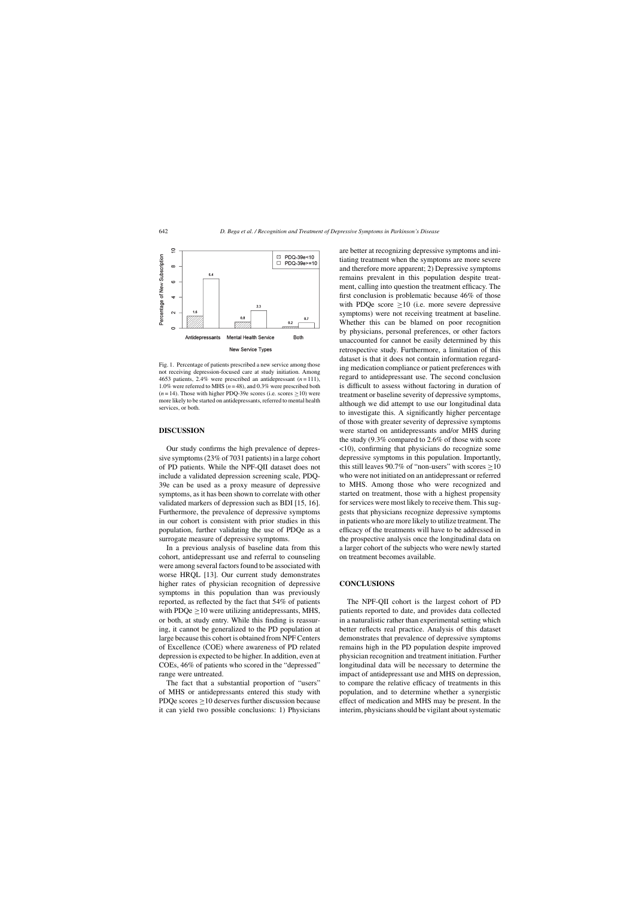

Fig. 1. Percentage of patients prescribed a new service among those not receiving depression-focused care at study initiation. Among 4653 patients, 2.4% were prescribed an antidepressant (*n* = 111), 1.0% were referred to MHS  $(n=48)$ , and 0.3% were prescribed both  $(n=14)$ . Those with higher PDQ-39e scores (i.e. scores  $\geq 10$ ) were more likely to be started on antidepressants, referred to mental health services, or both.

### **DISCUSSION**

Our study confirms the high prevalence of depressive symptoms (23% of 7031 patients) in a large cohort of PD patients. While the NPF-QII dataset does not include a validated depression screening scale, PDQ-39e can be used as a proxy measure of depressive symptoms, as it has been shown to correlate with other validated markers of depression such as BDI [15, 16]. Furthermore, the prevalence of depressive symptoms in our cohort is consistent with prior studies in this population, further validating the use of PDQe as a surrogate measure of depressive symptoms.

In a previous analysis of baseline data from this cohort, antidepressant use and referral to counseling were among several factors found to be associated with worse HRQL [13]. Our current study demonstrates higher rates of physician recognition of depressive symptoms in this population than was previously reported, as reflected by the fact that 54% of patients with PDQe  $>10$  were utilizing antidepressants, MHS, or both, at study entry. While this finding is reassuring, it cannot be generalized to the PD population at large because this cohort is obtained from NPF Centers of Excellence (COE) where awareness of PD related depression is expected to be higher. In addition, even at COEs, 46% of patients who scored in the "depressed" range were untreated.

The fact that a substantial proportion of "users" of MHS or antidepressants entered this study with PDQe scores  $\geq$ 10 deserves further discussion because it can yield two possible conclusions: 1) Physicians

are better at recognizing depressive symptoms and initiating treatment when the symptoms are more severe and therefore more apparent; 2) Depressive symptoms remains prevalent in this population despite treatment, calling into question the treatment efficacy. The first conclusion is problematic because 46% of those with PDQe score  $\geq 10$  (i.e. more severe depressive symptoms) were not receiving treatment at baseline. Whether this can be blamed on poor recognition by physicians, personal preferences, or other factors unaccounted for cannot be easily determined by this retrospective study. Furthermore, a limitation of this dataset is that it does not contain information regarding medication compliance or patient preferences with regard to antidepressant use. The second conclusion is difficult to assess without factoring in duration of treatment or baseline severity of depressive symptoms, although we did attempt to use our longitudinal data to investigate this. A significantly higher percentage of those with greater severity of depressive symptoms were started on antidepressants and/or MHS during the study (9.3% compared to 2.6% of those with score <10), confirming that physicians do recognize some depressive symptoms in this population. Importantly, this still leaves 90.7% of "non-users" with scores  $\geq$ 10 who were not initiated on an antidepressant or referred to MHS. Among those who were recognized and started on treatment, those with a highest propensity for services were most likely to receive them. This suggests that physicians recognize depressive symptoms in patients who are more likely to utilize treatment. The efficacy of the treatments will have to be addressed in the prospective analysis once the longitudinal data on a larger cohort of the subjects who were newly started on treatment becomes available.

#### **CONCLUSIONS**

The NPF-QII cohort is the largest cohort of PD patients reported to date, and provides data collected in a naturalistic rather than experimental setting which better reflects real practice. Analysis of this dataset demonstrates that prevalence of depressive symptoms remains high in the PD population despite improved physician recognition and treatment initiation. Further longitudinal data will be necessary to determine the impact of antidepressant use and MHS on depression, to compare the relative efficacy of treatments in this population, and to determine whether a synergistic effect of medication and MHS may be present. In the interim, physicians should be vigilant about systematic